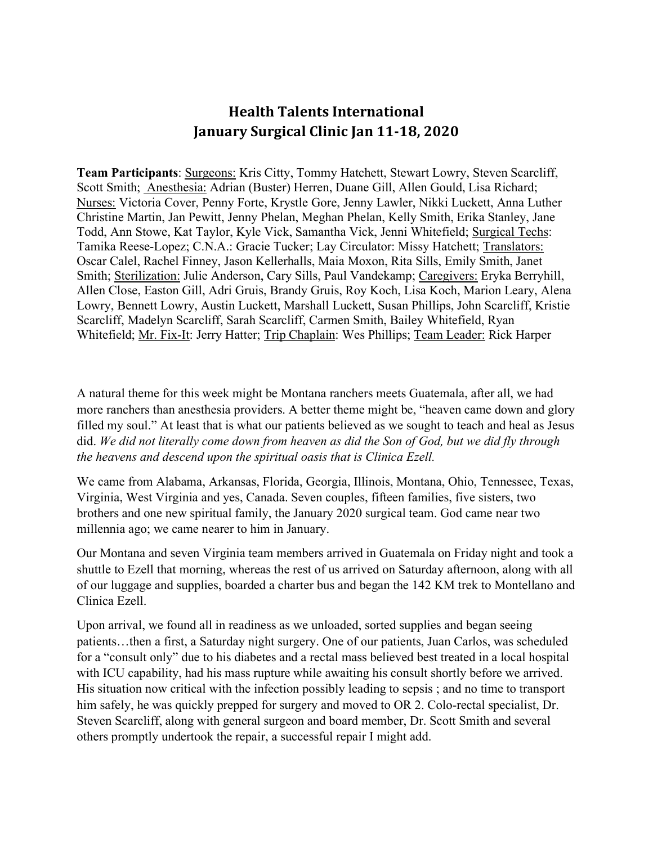## **Health Talents International January Surgical Clinic Jan 11-18, 2020**

**Team Participants**: Surgeons: Kris Citty, Tommy Hatchett, Stewart Lowry, Steven Scarcliff, Scott Smith; Anesthesia: Adrian (Buster) Herren, Duane Gill, Allen Gould, Lisa Richard; Nurses: Victoria Cover, Penny Forte, Krystle Gore, Jenny Lawler, Nikki Luckett, Anna Luther Christine Martin, Jan Pewitt, Jenny Phelan, Meghan Phelan, Kelly Smith, Erika Stanley, Jane Todd, Ann Stowe, Kat Taylor, Kyle Vick, Samantha Vick, Jenni Whitefield; Surgical Techs: Tamika Reese-Lopez; C.N.A.: Gracie Tucker; Lay Circulator: Missy Hatchett; Translators: Oscar Calel, Rachel Finney, Jason Kellerhalls, Maia Moxon, Rita Sills, Emily Smith, Janet Smith; Sterilization: Julie Anderson, Cary Sills, Paul Vandekamp; Caregivers: Eryka Berryhill, Allen Close, Easton Gill, Adri Gruis, Brandy Gruis, Roy Koch, Lisa Koch, Marion Leary, Alena Lowry, Bennett Lowry, Austin Luckett, Marshall Luckett, Susan Phillips, John Scarcliff, Kristie Scarcliff, Madelyn Scarcliff, Sarah Scarcliff, Carmen Smith, Bailey Whitefield, Ryan Whitefield; Mr. Fix-It: Jerry Hatter; Trip Chaplain: Wes Phillips; Team Leader: Rick Harper

A natural theme for this week might be Montana ranchers meets Guatemala, after all, we had more ranchers than anesthesia providers. A better theme might be, "heaven came down and glory filled my soul." At least that is what our patients believed as we sought to teach and heal as Jesus did. *We did not literally come down from heaven as did the Son of God, but we did fly through the heavens and descend upon the spiritual oasis that is Clinica Ezell.*

We came from Alabama, Arkansas, Florida, Georgia, Illinois, Montana, Ohio, Tennessee, Texas, Virginia, West Virginia and yes, Canada. Seven couples, fifteen families, five sisters, two brothers and one new spiritual family, the January 2020 surgical team. God came near two millennia ago; we came nearer to him in January.

Our Montana and seven Virginia team members arrived in Guatemala on Friday night and took a shuttle to Ezell that morning, whereas the rest of us arrived on Saturday afternoon, along with all of our luggage and supplies, boarded a charter bus and began the 142 KM trek to Montellano and Clinica Ezell.

Upon arrival, we found all in readiness as we unloaded, sorted supplies and began seeing patients…then a first, a Saturday night surgery. One of our patients, Juan Carlos, was scheduled for a "consult only" due to his diabetes and a rectal mass believed best treated in a local hospital with ICU capability, had his mass rupture while awaiting his consult shortly before we arrived. His situation now critical with the infection possibly leading to sepsis ; and no time to transport him safely, he was quickly prepped for surgery and moved to OR 2. Colo-rectal specialist, Dr. Steven Scarcliff, along with general surgeon and board member, Dr. Scott Smith and several others promptly undertook the repair, a successful repair I might add.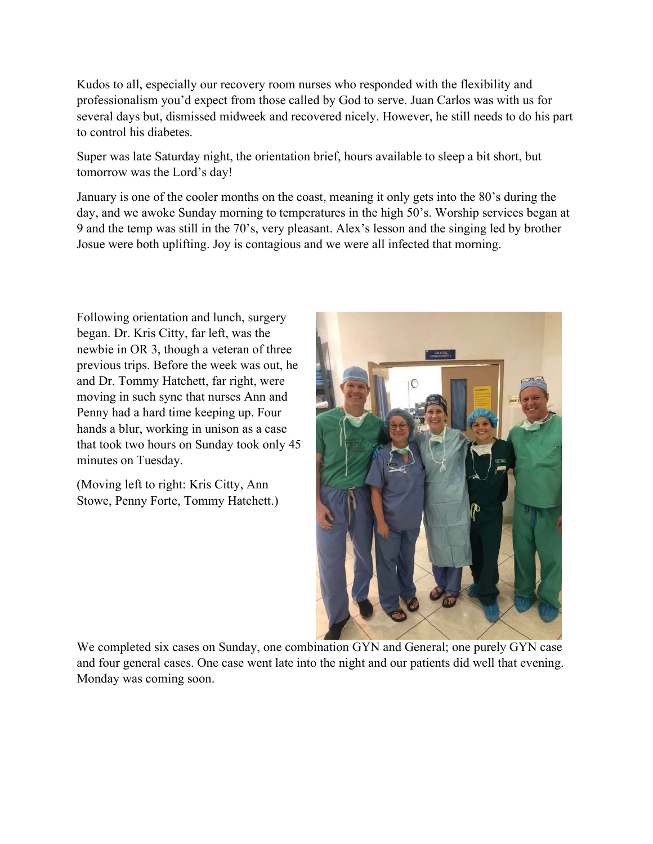Kudos to all, especially our recovery room nurses who responded with the flexibility and professionalism you'd expect from those called by God to serve. Juan Carlos was with us for several days but, dismissed midweek and recovered nicely. However, he still needs to do his part to control his diabetes.

Super was late Saturday night, the orientation brief, hours available to sleep a bit short, but tomorrow was the Lord's day!

January is one of the cooler months on the coast, meaning it only gets into the 80's during the day, and we awoke Sunday morning to temperatures in the high 50's. Worship services began at 9 and the temp was still in the 70's, very pleasant. Alex's lesson and the singing led by brother Josue were both uplifting. Joy is contagious and we were all infected that morning.

Following orientation and lunch, surgery began. Dr. Kris Citty, far left, was the newbie in OR 3, though a veteran of three previous trips. Before the week was out, he and Dr. Tommy Hatchett, far right, were moving in such sync that nurses Ann and Penny had a hard time keeping up. Four hands a blur, working in unison as a case that took two hours on Sunday took only 45 minutes on Tuesday.

(Moving left to right: Kris Citty, Ann Stowe, Penny Forte, Tommy Hatchett.)



We completed six cases on Sunday, one combination GYN and General; one purely GYN case and four general cases. One case went late into the night and our patients did well that evening. Monday was coming soon.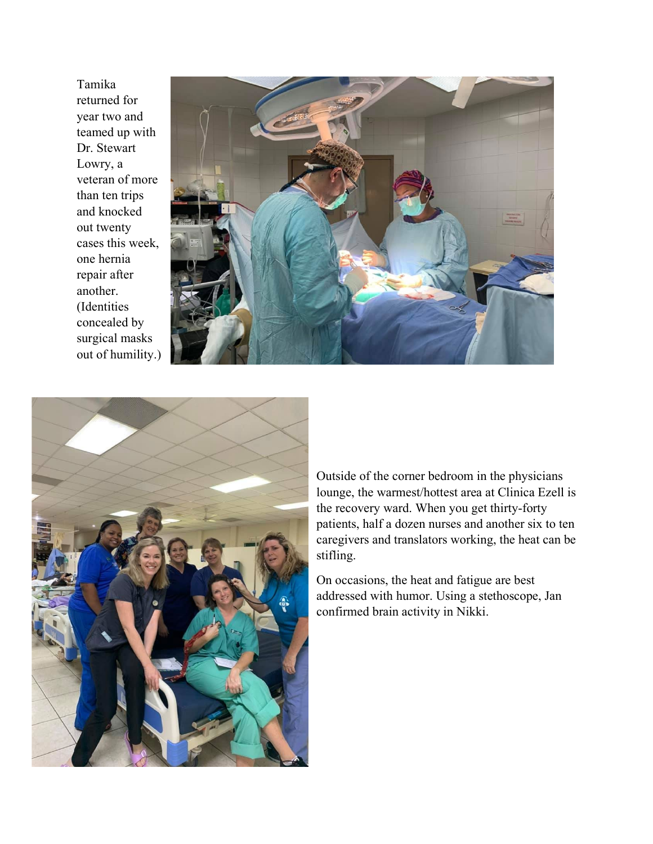Tamika returned for year two and teamed up with Dr. Stewart Lowry, a veteran of more than ten trips and knocked out twenty cases this week, one hernia repair after another. (Identities concealed by surgical masks out of humility.)





Outside of the corner bedroom in the physicians lounge, the warmest/hottest area at Clinica Ezell is the recovery ward. When you get thirty-forty patients, half a dozen nurses and another six to ten caregivers and translators working, the heat can be stifling.

On occasions, the heat and fatigue are best addressed with humor. Using a stethoscope, Jan confirmed brain activity in Nikki.